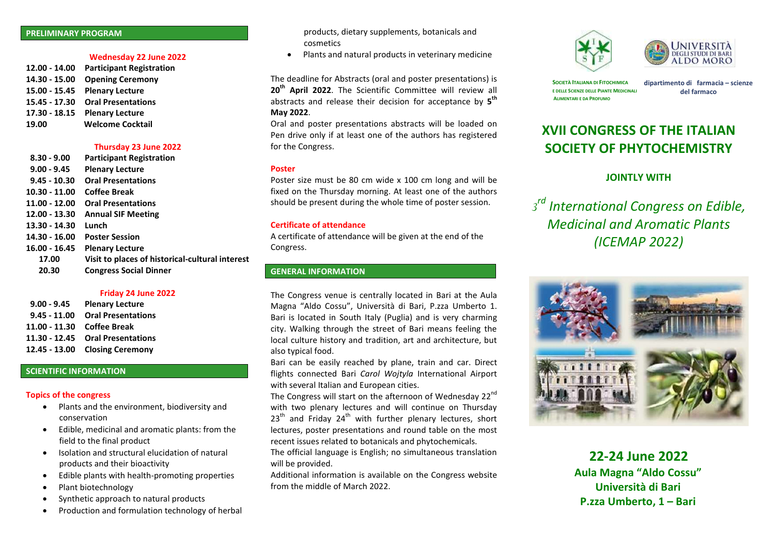#### **PRELIMINARY PROGRAM**

#### **Wednesday 22 June 2022**

**12.00 - 14.00 Participant Registration 14.30 - 15.00 Opening Ceremony 15.00 - 15.45 Plenary Lecture 15.45 - 17.30 Oral Presentations 17.30 - 18.15 Plenary Lecture 19.00 Welcome Cocktail**

## **Thursday 23 June 2022**

| $8.30 - 9.00$  | <b>Participant Registration</b>                 |
|----------------|-------------------------------------------------|
| $9.00 - 9.45$  | <b>Plenary Lecture</b>                          |
| $9.45 - 10.30$ | <b>Oral Presentations</b>                       |
| 10.30 - 11.00  | Coffee Break                                    |
| 11.00 - 12.00  | <b>Oral Presentations</b>                       |
| 12.00 - 13.30  | <b>Annual SIF Meeting</b>                       |
| 13.30 - 14.30  | Lunch                                           |
| 14.30 - 16.00  | <b>Poster Session</b>                           |
| 16.00 - 16.45  | <b>Plenary Lecture</b>                          |
| 17.00          | Visit to places of historical-cultural interest |
| 20.30          | <b>Congress Social Dinner</b>                   |
|                |                                                 |

#### **Friday 24 June 2022**

| $9.00 - 9.45$ | <b>Plenary Lecture</b>           |
|---------------|----------------------------------|
|               | 9.45 - 11.00 Oral Presentations  |
|               | 11.00 - 11.30 Coffee Break       |
|               | 11.30 - 12.45 Oral Presentations |
|               | 12.45 - 13.00 Closing Ceremony   |

## **SCIENTIFIC INFORMATION**

## **Topics of the congress**

- Plants and the environment, biodiversity and conservation
- Edible, medicinal and aromatic plants: from the field to the final product
- Isolation and structural elucidation of natural products and their bioactivity
- Edible plants with health-promoting properties
- Plant biotechnology
- Synthetic approach to natural products
- Production and formulation technology of herbal

products, dietary supplements, botanicals and cosmetics

• Plants and natural products in veterinary medicine

The deadline for Abstracts (oral and poster presentations) is **20 th April 2022**. The Scientific Committee will review all abstracts and release their decision for acceptance by **5 th May 2022**.

Oral and poster presentations abstracts will be loaded on Pen drive only if at least one of the authors has registered for the Congress.

#### **Poster**

Poster size must be 80 cm wide x 100 cm long and will be fixed on the Thursday morning. At least one of the authors should be present during the whole time of poster session.

## **Certificate of attendance**

A certificate of attendance will be given at the end of the Congress.

# **GENERAL INFORMATION**

The Congress venue is centrally located in Bari at the Aula Magna "Aldo Cossu", Università di Bari, P.zza Umberto 1. Bari is located in South Italy (Puglia) and is very charming city. Walking through the street of Bari means feeling the local culture history and tradition, art and architecture, but also typical food.

Bari can be easily reached by plane, train and car. Direct flights connected Bari *Carol Wojtyla* International Airport with several Italian and European cities.

The Congress will start on the afternoon of Wednesday 22<sup>nd</sup> with two plenary lectures and will continue on Thursday  $23<sup>th</sup>$  and Friday  $24<sup>th</sup>$  with further plenary lectures, short lectures, poster presentations and round table on the most recent issues related to botanicals and phytochemicals.

The official language is English; no simultaneous translation will be provided.

Additional information is available on the Congress website from the middle of March 2022.





**SOCIETÀ ITALIANA DI FITOCHIMICA E DELLE SCIENZE DELLE PIANTE MEDICINALI ALIMENTARI E DA PROFUMO**

**dipartimento di farmacia – scienze del farmaco**

# **XVII CONGRESS OF THE ITALIAN SOCIETY OF PHYTOCHEMISTRY**

# **JOINTLY WITH**

*3 rd International Congress on Edible, Medicinal and Aromatic Plants (ICEMAP 2022)*



**22-24 June 2022 Aula Magna "Aldo Cossu" Università di Bari P.zza Umberto, 1 – Bari**